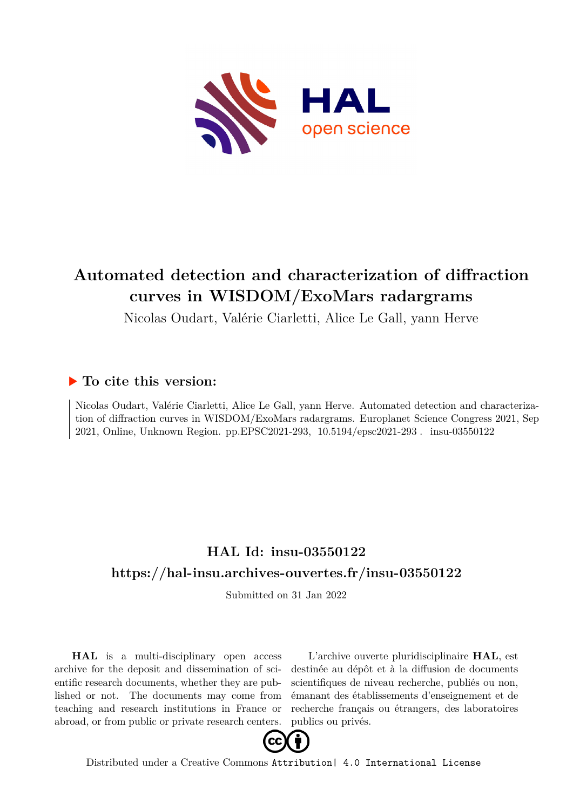

## **Automated detection and characterization of diffraction curves in WISDOM/ExoMars radargrams**

Nicolas Oudart, Valérie Ciarletti, Alice Le Gall, yann Herve

### **To cite this version:**

Nicolas Oudart, Valérie Ciarletti, Alice Le Gall, yann Herve. Automated detection and characterization of diffraction curves in WISDOM/ExoMars radargrams. Europlanet Science Congress 2021, Sep 2021, Online, Unknown Region. pp.EPSC2021-293, 10.5194/epsc2021-293. insu-03550122

## **HAL Id: insu-03550122 <https://hal-insu.archives-ouvertes.fr/insu-03550122>**

Submitted on 31 Jan 2022

**HAL** is a multi-disciplinary open access archive for the deposit and dissemination of scientific research documents, whether they are published or not. The documents may come from teaching and research institutions in France or abroad, or from public or private research centers.

L'archive ouverte pluridisciplinaire **HAL**, est destinée au dépôt et à la diffusion de documents scientifiques de niveau recherche, publiés ou non, émanant des établissements d'enseignement et de recherche français ou étrangers, des laboratoires publics ou privés.



Distributed under a Creative Commons [Attribution| 4.0 International License](http://creativecommons.org/licenses/by/4.0/)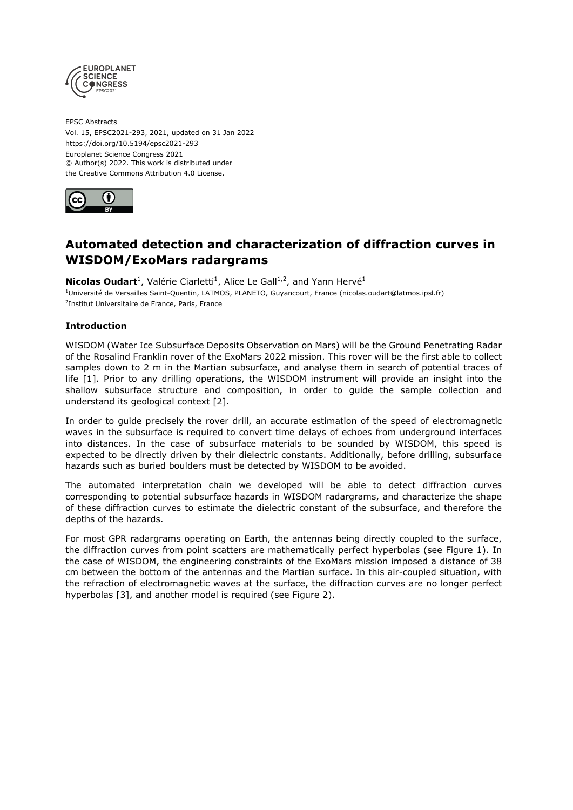

EPSC Abstracts Vol. 15, EPSC2021-293, 2021, updated on 31 Jan 2022 https://doi.org/10.5194/epsc2021-293 Europlanet Science Congress 2021 © Author(s) 2022. This work is distributed under the Creative Commons Attribution 4.0 License.



### **Automated detection and characterization of diffraction curves in WISDOM/ExoMars radargrams**

**Nicolas Oudart**<sup>1</sup>, Valérie Ciarletti<sup>1</sup>, Alice Le Gall<sup>1,2</sup>, and Yann Hervé<sup>1</sup>

<sup>1</sup>Université de Versailles Saint-Quentin, LATMOS, PLANETO, Guyancourt, France (nicolas.oudart@latmos.ipsl.fr) <sup>2</sup>Institut Universitaire de France, Paris, France

#### **Introduction**

WISDOM (Water Ice Subsurface Deposits Observation on Mars) will be the Ground Penetrating Radar of the Rosalind Franklin rover of the ExoMars 2022 mission. This rover will be the first able to collect samples down to 2 m in the Martian subsurface, and analyse them in search of potential traces of life [1]. Prior to any drilling operations, the WISDOM instrument will provide an insight into the shallow subsurface structure and composition, in order to guide the sample collection and understand its geological context [2].

In order to guide precisely the rover drill, an accurate estimation of the speed of electromagnetic waves in the subsurface is required to convert time delays of echoes from underground interfaces into distances. In the case of subsurface materials to be sounded by WISDOM, this speed is expected to be directly driven by their dielectric constants. Additionally, before drilling, subsurface hazards such as buried boulders must be detected by WISDOM to be avoided.

The automated interpretation chain we developed will be able to detect diffraction curves corresponding to potential subsurface hazards in WISDOM radargrams, and characterize the shape of these diffraction curves to estimate the dielectric constant of the subsurface, and therefore the depths of the hazards.

For most GPR radargrams operating on Earth, the antennas being directly coupled to the surface, the diffraction curves from point scatters are mathematically perfect hyperbolas (see Figure 1). In the case of WISDOM, the engineering constraints of the ExoMars mission imposed a distance of 38 cm between the bottom of the antennas and the Martian surface. In this air-coupled situation, with the refraction of electromagnetic waves at the surface, the diffraction curves are no longer perfect hyperbolas [3], and another model is required (see Figure 2).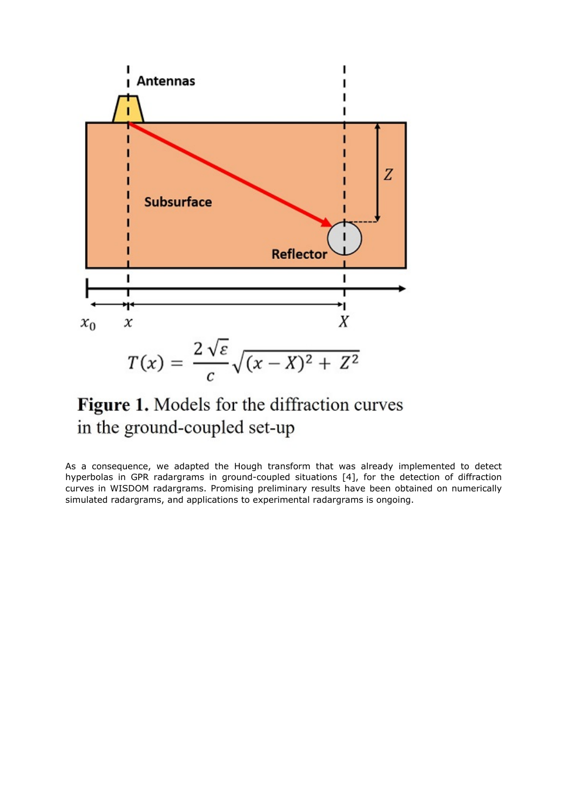

# Figure 1. Models for the diffraction curves in the ground-coupled set-up

As a consequence, we adapted the Hough transform that was already implemented to detect hyperbolas in GPR radargrams in ground-coupled situations [4], for the detection of diffraction curves in WISDOM radargrams. Promising preliminary results have been obtained on numerically simulated radargrams, and applications to experimental radargrams is ongoing.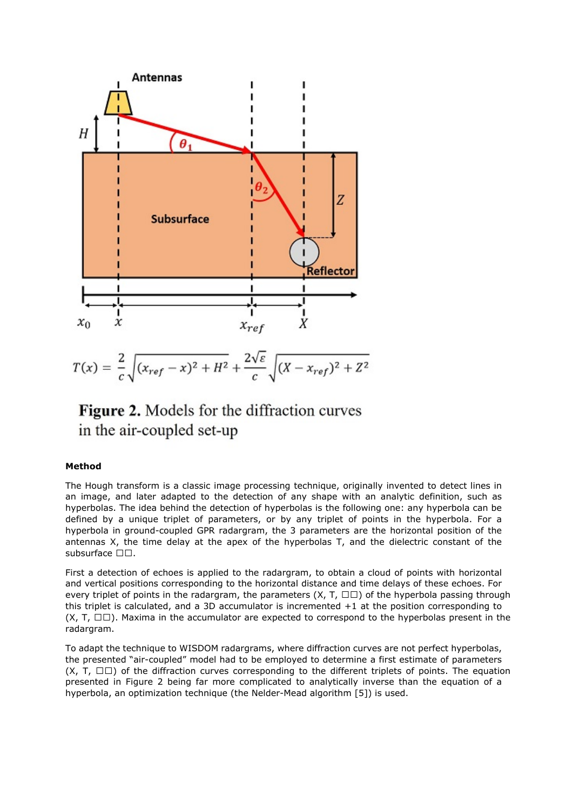

$$
T(x) = \frac{2}{c} \sqrt{(x_{ref} - x)^2 + H^2} + \frac{2\sqrt{\varepsilon}}{c} \sqrt{(X - x_{ref})^2 + Z^2}
$$

## Figure 2. Models for the diffraction curves in the air-coupled set-up

#### **Method**

The Hough transform is a classic image processing technique, originally invented to detect lines in an image, and later adapted to the detection of any shape with an analytic definition, such as hyperbolas. The idea behind the detection of hyperbolas is the following one: any hyperbola can be defined by a unique triplet of parameters, or by any triplet of points in the hyperbola. For a hyperbola in ground-coupled GPR radargram, the 3 parameters are the horizontal position of the antennas X, the time delay at the apex of the hyperbolas T, and the dielectric constant of the subsurface  $\square \square$ .

First a detection of echoes is applied to the radargram, to obtain a cloud of points with horizontal and vertical positions corresponding to the horizontal distance and time delays of these echoes. For every triplet of points in the radargram, the parameters  $(X, T, \Box \Box)$  of the hyperbola passing through this triplet is calculated, and a 3D accumulator is incremented  $+1$  at the position corresponding to  $(X, T, \Box \Box)$ . Maxima in the accumulator are expected to correspond to the hyperbolas present in the radargram.

To adapt the technique to WISDOM radargrams, where diffraction curves are not perfect hyperbolas, the presented "air-coupled" model had to be employed to determine a first estimate of parameters  $(X, T, \Box \Box)$  of the diffraction curves corresponding to the different triplets of points. The equation presented in Figure 2 being far more complicated to analytically inverse than the equation of a hyperbola, an optimization technique (the Nelder-Mead algorithm [5]) is used.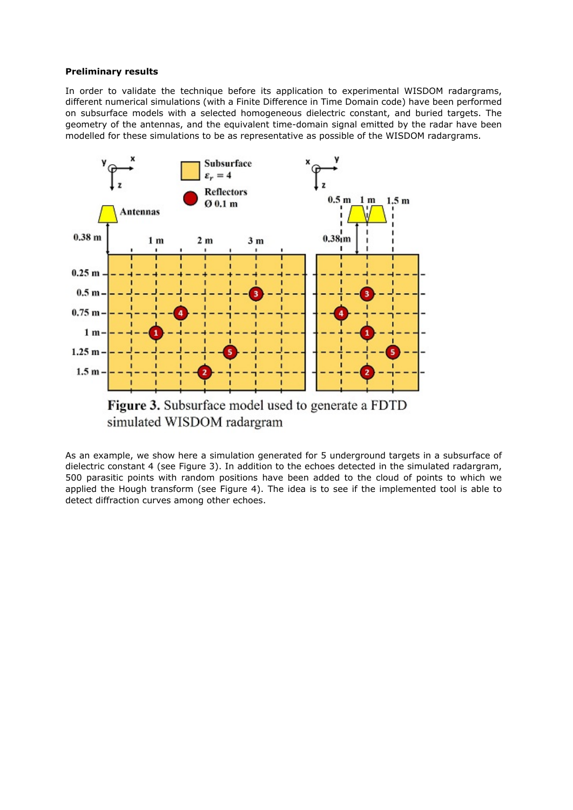#### **Preliminary results**

In order to validate the technique before its application to experimental WISDOM radargrams, different numerical simulations (with a Finite Difference in Time Domain code) have been performed on subsurface models with a selected homogeneous dielectric constant, and buried targets. The geometry of the antennas, and the equivalent time-domain signal emitted by the radar have been modelled for these simulations to be as representative as possible of the WISDOM radargrams.



As an example, we show here a simulation generated for 5 underground targets in a subsurface of dielectric constant 4 (see Figure 3). In addition to the echoes detected in the simulated radargram, 500 parasitic points with random positions have been added to the cloud of points to which we applied the Hough transform (see Figure 4). The idea is to see if the implemented tool is able to detect diffraction curves among other echoes.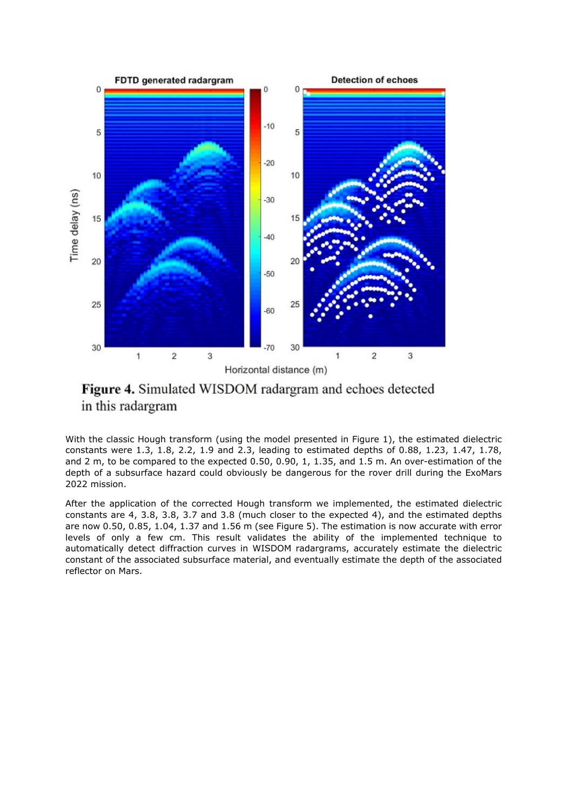

Figure 4. Simulated WISDOM radargram and echoes detected in this radargram

With the classic Hough transform (using the model presented in Figure 1), the estimated dielectric constants were 1.3, 1.8, 2.2, 1.9 and 2.3, leading to estimated depths of 0.88, 1.23, 1.47, 1.78, and 2 m, to be compared to the expected 0.50, 0.90, 1, 1.35, and 1.5 m. An over-estimation of the depth of a subsurface hazard could obviously be dangerous for the rover drill during the ExoMars 2022 mission.

After the application of the corrected Hough transform we implemented, the estimated dielectric constants are 4, 3.8, 3.8, 3.7 and 3.8 (much closer to the expected 4), and the estimated depths are now 0.50, 0.85, 1.04, 1.37 and 1.56 m (see Figure 5). The estimation is now accurate with error levels of only a few cm. This result validates the ability of the implemented technique to automatically detect diffraction curves in WISDOM radargrams, accurately estimate the dielectric constant of the associated subsurface material, and eventually estimate the depth of the associated reflector on Mars.